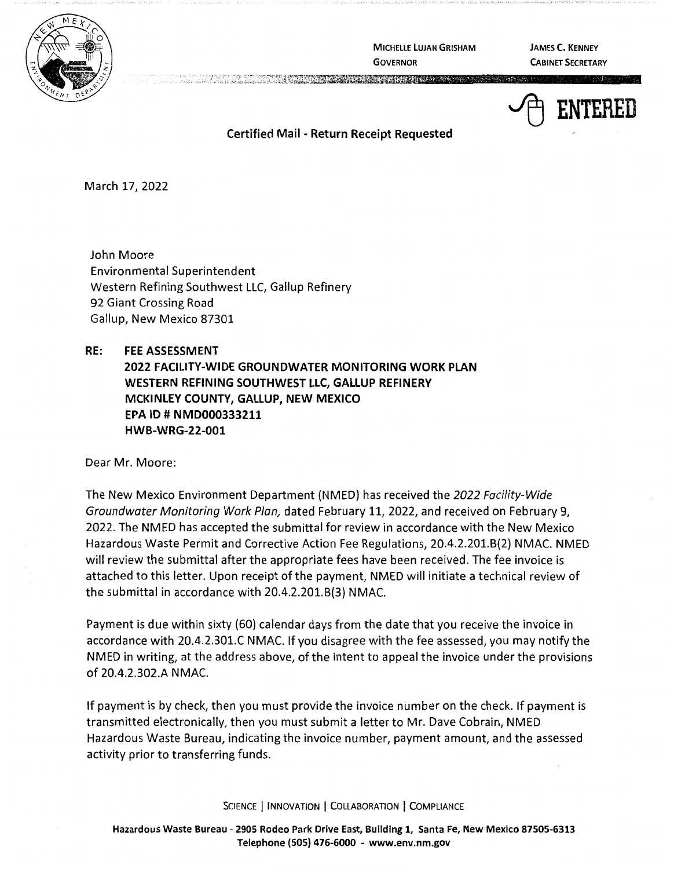

**MICHELLE LUJAN GRISHAM GOVERNOR** 

**JAMES C. KENNEY CABINET SECRETARY** 

~ **ENTERED** 

**Certified Mail** - **Return Receipt Requested** 

March 17, 2022

John Moore Environmental Superintendent Western Refining Southwest LLC, Gallup Refinery 92 Giant Crossing Road Gallup, New Mexico 87301

## **RE: FEE ASSESSMENT**

**2022 FACILITY-WIDE GROUNDWATER MONITORING WORK PLAN WESTERN REFINING SOUTHWEST LLC, GALLUP REFINERY MCKINLEY COUNTY, GALLUP, NEW MEXICO EPA** ID# **NMD000333211 HWB-WRG-22-001** 

Dear Mr. Moore:

The New Mexico Environment Department {NMED) has received the 2022 Facility-Wide Groundwater Monitoring Work Plan, dated February 11, 2022, and received on February 9, 2022. The NMED has accepted the submittal for review in accordance with the New Mexico Hazardous Waste Permit and Corrective Action Fee Regulations, 20.4.2.201.8{2) NMAC. NMED will review the submittal after the appropriate fees have been received. The fee invoice is attached to this letter. Upon receipt of the payment, NMED will initiate a technical review of the submittal in accordance with 20.4.2.201.8{3) NMAC.

Payment is due within sixty {60) calendar days from the date that you receive the invoice in accordance with 20.4.2.301.C NMAC. If you disagree with the fee assessed, you may notify the NMED in writing, at the address above, of the intent to appeal the invoice under the provisions of 20.4.2.302.A NMAC.

If payment is by check, then you must provide the invoice number on the check. If payment is transmitted electronically, then you must submit a letter to Mr. Dave Cobrain, NMED Hazardous Waste Bureau, indicating the invoice number, payment amount, and the assessed activity prior to transferring funds.

SCIENCE | INNOVATION | COLLABORATION | COMPLIANCE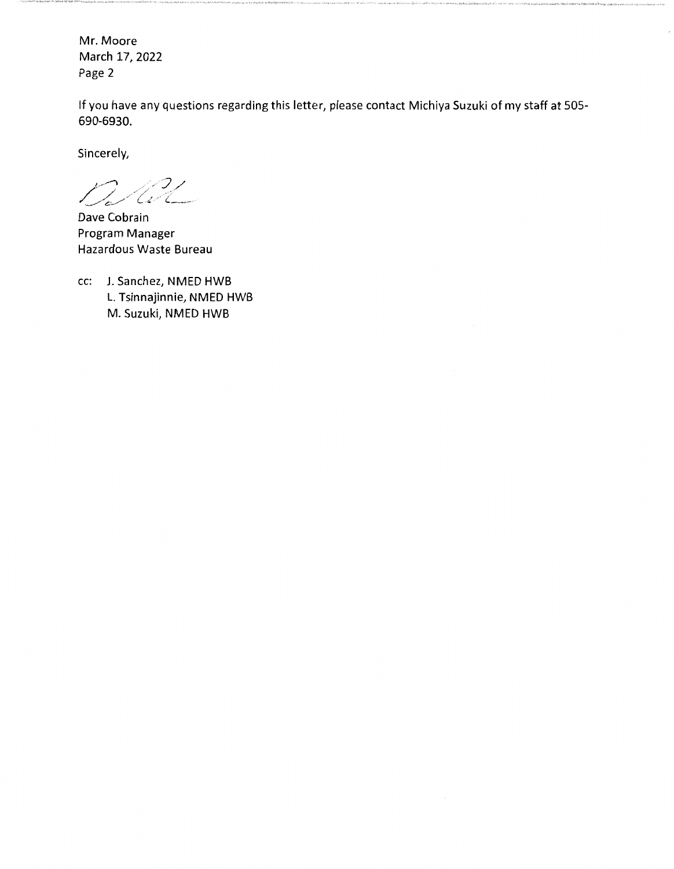Mr. Moore March 17, 2022 Page 2

If you have any questions regarding this letter, please contact Michiya Suzuki of my staff at 505- 690-6930.

Sincerely,

 $\mathcal{L}$  ,  $\mathcal{L}$ / // .. />/, . , .. ;' *\_\_ .,...,,..,..c\_/ L* ·'- . ( \_\_\_\_\_\_ ..

Dave Cobrain Program Manager Hazardous Waste Bureau

cc: J. Sanchez, NMED HWB L. Tsinnajinnie, NMED HWB M. Suzuki, NMED HWB